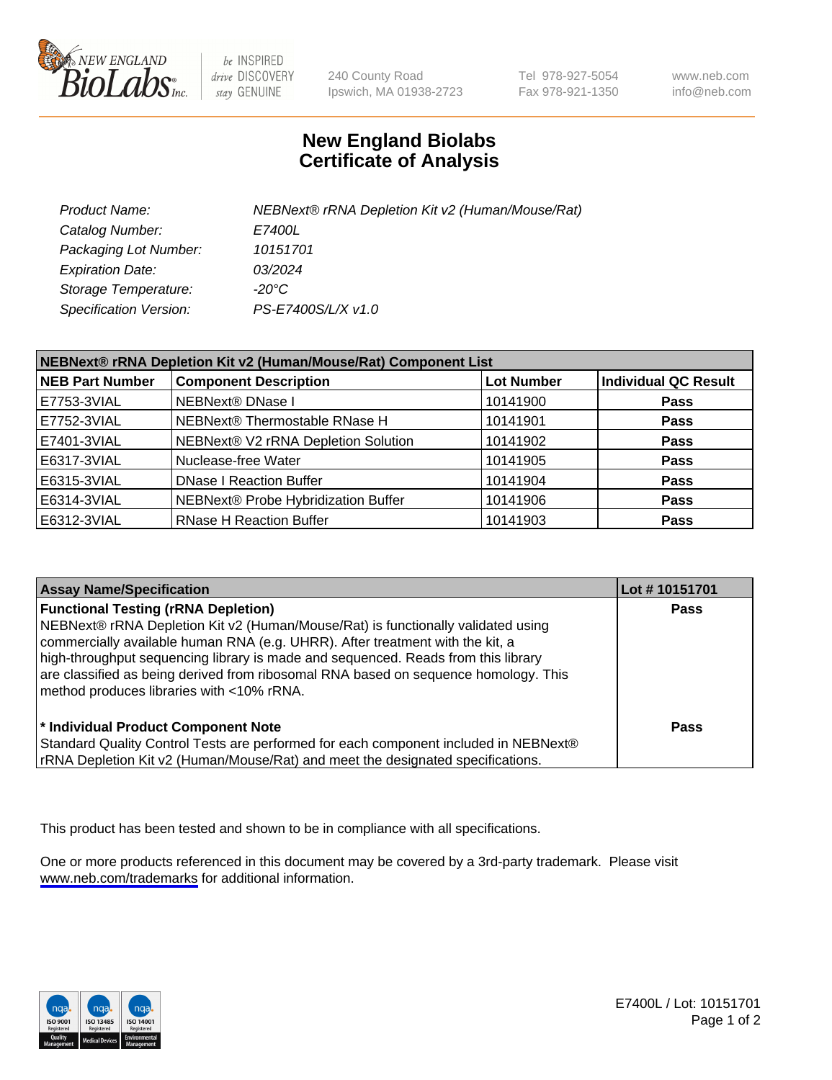

be INSPIRED drive DISCOVERY stay GENUINE

240 County Road Ipswich, MA 01938-2723 Tel 978-927-5054 Fax 978-921-1350

www.neb.com info@neb.com

## **New England Biolabs Certificate of Analysis**

| Product Name:                 | NEBNext® rRNA Depletion Kit v2 (Human/Mouse/Rat) |
|-------------------------------|--------------------------------------------------|
| Catalog Number:               | <i>E7400L</i>                                    |
| Packaging Lot Number:         | 10151701                                         |
| <b>Expiration Date:</b>       | 03/2024                                          |
| Storage Temperature:          | -20°C                                            |
| <b>Specification Version:</b> | PS-E7400S/L/X v1.0                               |

| NEBNext® rRNA Depletion Kit v2 (Human/Mouse/Rat) Component List |                                     |                   |                             |  |
|-----------------------------------------------------------------|-------------------------------------|-------------------|-----------------------------|--|
| <b>NEB Part Number</b>                                          | <b>Component Description</b>        | <b>Lot Number</b> | <b>Individual QC Result</b> |  |
| E7753-3VIAL                                                     | NEBNext® DNase I                    | 10141900          | <b>Pass</b>                 |  |
| E7752-3VIAL                                                     | NEBNext® Thermostable RNase H       | 10141901          | <b>Pass</b>                 |  |
| E7401-3VIAL                                                     | NEBNext® V2 rRNA Depletion Solution | 10141902          | <b>Pass</b>                 |  |
| E6317-3VIAL                                                     | Nuclease-free Water                 | 10141905          | <b>Pass</b>                 |  |
| E6315-3VIAL                                                     | <b>DNase I Reaction Buffer</b>      | 10141904          | <b>Pass</b>                 |  |
| E6314-3VIAL                                                     | NEBNext® Probe Hybridization Buffer | 10141906          | <b>Pass</b>                 |  |
| E6312-3VIAL                                                     | <b>RNase H Reaction Buffer</b>      | 10141903          | <b>Pass</b>                 |  |

| <b>Assay Name/Specification</b>                                                                                                                                                                                                                                                                                                                                                                                                          | Lot #10151701 |
|------------------------------------------------------------------------------------------------------------------------------------------------------------------------------------------------------------------------------------------------------------------------------------------------------------------------------------------------------------------------------------------------------------------------------------------|---------------|
| <b>Functional Testing (rRNA Depletion)</b><br>NEBNext® rRNA Depletion Kit v2 (Human/Mouse/Rat) is functionally validated using<br>commercially available human RNA (e.g. UHRR). After treatment with the kit, a<br>high-throughput sequencing library is made and sequenced. Reads from this library<br>are classified as being derived from ribosomal RNA based on sequence homology. This<br>method produces libraries with <10% rRNA. | <b>Pass</b>   |
| * Individual Product Component Note<br>Standard Quality Control Tests are performed for each component included in NEBNext®<br>rRNA Depletion Kit v2 (Human/Mouse/Rat) and meet the designated specifications.                                                                                                                                                                                                                           | <b>Pass</b>   |

This product has been tested and shown to be in compliance with all specifications.

One or more products referenced in this document may be covered by a 3rd-party trademark. Please visit <www.neb.com/trademarks>for additional information.